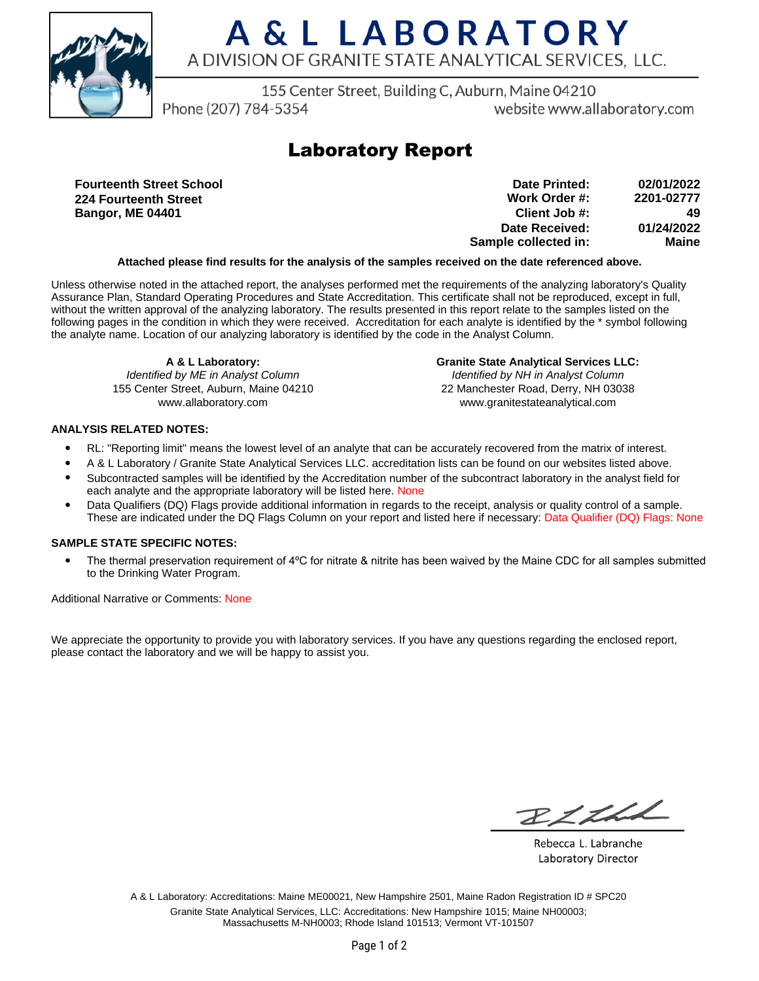

# A & L LABORATORY A DIVISION OF GRANITE STATE ANALYTICAL SERVICES. LLC.

155 Center Street, Building C, Auburn, Maine 04210

Phone (207) 784-5354

website www.allaboratory.com

## **Laboratory Report**

**Fourteenth Street School 224 Fourteenth Street Bangor, ME 04401**

| 02/01/2022 | Date Printed:        |
|------------|----------------------|
| 2201-02777 | Work Order #:        |
| 49         | Client Job #:        |
| 01/24/2022 | Date Received:       |
| Maine      | Sample collected in: |

### **Attached please find results for the analysis of the samples received on the date referenced above.**

Unless otherwise noted in the attached report, the analyses performed met the requirements of the analyzing laboratory's Quality Assurance Plan, Standard Operating Procedures and State Accreditation. This certificate shall not be reproduced, except in full, without the written approval of the analyzing laboratory. The results presented in this report relate to the samples listed on the following pages in the condition in which they were received. Accreditation for each analyte is identified by the \* symbol following the analyte name. Location of our analyzing laboratory is identified by the code in the Analyst Column.

**A & L Laboratory:** Identified by ME in Analyst Column 155 Center Street, Auburn, Maine 04210 www.allaboratory.com

**Granite State Analytical Services LLC:** Identified by NH in Analyst Column 22 Manchester Road, Derry, NH 03038 www.granitestateanalytical.com

### **ANALYSIS RELATED NOTES:**

- RL: "Reporting limit" means the lowest level of an analyte that can be accurately recovered from the matrix of interest.
- A & L Laboratory / Granite State Analytical Services LLC. accreditation lists can be found on our websites listed above.
- Subcontracted samples will be identified by the Accreditation number of the subcontract laboratory in the analyst field for each analyte and the appropriate laboratory will be listed here. None
- Data Qualifiers (DQ) Flags provide additional information in regards to the receipt, analysis or quality control of a sample. These are indicated under the DQ Flags Column on your report and listed here if necessary: Data Qualifier (DQ) Flags: None

### **SAMPLE STATE SPECIFIC NOTES:**

• The thermal preservation requirement of 4°C for nitrate & nitrite has been waived by the Maine CDC for all samples submitted to the Drinking Water Program.

Additional Narrative or Comments: None

We appreciate the opportunity to provide you with laboratory services. If you have any questions regarding the enclosed report, please contact the laboratory and we will be happy to assist you.

RICH

Rebecca L. Labranche Laboratory Director

A & L Laboratory: Accreditations: Maine ME00021, New Hampshire 2501, Maine Radon Registration ID # SPC20 Granite State Analytical Services, LLC: Accreditations: New Hampshire 1015; Maine NH00003; Massachusetts M-NH0003; Rhode Island 101513; Vermont VT-101507